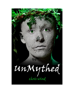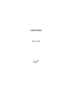# **UNMYTHED**

chris wind

Magenta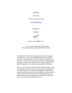UnMythed

chris wind

© 1991, 2011 by chris wind

www.chriswind.net

published by

Magenta

Magenta

ISBN: 978-1-926891-22-4

Cover concept and design by chris wind Formatting and layout design by Elizabeth Beeton

All rights reserved. Without limiting the rights under copyright reserved above, no part of this publication may be reproduced, stored in, or introduced into a retrieval system, or transmitted, in any form, or by any means (electronic, mechanical, photocopying, recording, or otherwise) without the prior written permission of both the copyright owner and the above publisher of this book.

This is a work of fiction. Names, characters, places, brands, media, and incidents are either the product of the author"s imagination or are used fictitiously. The author acknowledges the trademarked status and trademark owners of various products referenced in this work of fiction, which have been used without permission. The publication/use of these trademarks is not authorized, associated with, or sponsored by the trademark owners.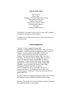#### **also by chris wind**

*Thus Saith Eve Deare Sister Soliloquies: The Lady Doth Indeed Protest Snow White Gets Her Say Satellites Out of Orbit\* Particivision and other stories Paintings and Sculptures Excerpts dreaming of kaleidoscopes*

"UnMythed" is available in print as part of chris wind"s *Satellites Out of Orbit* (2nd edition), titled "Myths".

\* *Satellites Out of Orbit* contains the four books listed above it as well as this book.

#### **Acknowledgements**

"Atalanta" *Girlistic Magazine* Spring 2008 "Menelaus" *Canadian Dimension* December 1995, vol. 29 no.6 "Daedalus" *CCPNW Quarterly* Spring/Summer 1992, vol.7 no.1 "Daphne" *The New Quarterly* Fall 1988, vol.VIII no.3 "Circe" *The New Quarterly* Fall 1988, vol.VIII no.3 "Galatea" *The Wascana Review* Spring 1988, vol.23 no.1 "Penelope" *The Wascana Review* Spring 1988, vol.23 no.1 "Siren" *The Wascana Review* Spring 1988, vol.23 no.1 "Prometheus" *Visions of Poesy* (ed. Dennis Gould) 1988 "Iphegenia II" *Visions of Poesy* (ed. Dennis Gould) 1988 "Daedalus" *Visions of Poesy* (ed. Dennis Gould) 1988 "Persephone" *Atlantis* Fall 1987, vol.10 no.2 "Gaia" *Contemporary Verse 2* Fall 1987, vol.10 no.2 "chryseis and briseis" *The Antigonish Review* May 1987 "a classic tragedy" ("Philomel") *University of Toronto Review* Spring 1985 vol.9

An earlier version of *UnMythed* appeared as *Myths,* most of which also appeared in the first edition of *Satellites Out of Orbit.*

Thanks to The Ontario Arts Council, Wolsak and Wynn Publishers Ltd., and Brick Books for their support.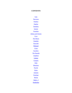## **CONTENTS**

**Gaia Narcissus** Pandora Daphne **Daedalus** Ismene Poseidon **Athena and Orestes Circe** The Muses **Omphale Hyacinth** Philomel **Clytie Eurydice The Danaids** Amphion **Galatea Gorgons Dido Menelaus** Psyche **Hylas** Atalanta Penelope Macha Jason—I **Penthisilea**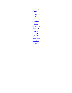**Persephone** Adonis Ares Siren **Acrisius** Iphigenia—I **Thetis** Chryseis and Briseis Jason—II **Chiron** Artemis Bellerophon Iphigenia—II **Prometheus** Sisyphus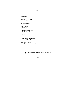### **Gaia**

for centuries I scraped the Sistine Chapel where God reaches out, touches, transfers, and Adam is born.

flake by flake, layer by layer, (one has to be careful to leave the original intact) the work was slow, tedious, painful.

 but eventually through ages of oil and acrylic I uncovered the truth:

a tiny head crowning between warm soft thighs.

> *Gaia is the Greek goddess, Mother Earth, believed to be the Creator.*

> > $\sim\sim\sim$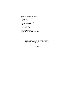#### **Narcissus**

she unwraps the traditional gifts: first, the brush-comb-and-mirror set, pale pink marbling with gilded edges they lie heavy in her hand; then the jewelry box, gold and cream lined with velvet it plays "Fascination"

the new thirteen-year-old hands them back to her mother and says "Narcissus was a man."

> *Narcissus was a man who fell in love with his own appearance—he spent all of his time gazing at his reflection in a pool of water.*

•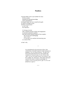### **Pandora**

everyone thinks yours is just another Eve story the first woman punished for desiring knowledge and for disobedience but people forget you were created by the gods as a gift of revenge for men, all beauty and mischief no, not "and" but 'therefore': it's boring to be bait: after a minimal amount of effort and imagination to maximize god-given qualities (the male sexual response being far from complex, this was far from challenging) what is there? it"s not easy to be satisfied with attracting men as a raison d"être—

so that's why.

*As a punishment for the possession of fire, Zeus ordered that a beautiful woman be made and given to mankind—she was named Pandora, "the gift of all". Each of the gods had given her some quality that would prove ruinous to man. In one version, these "gifts" were her incredible beauty, her goodness, and her youthful, shy, demeanour, which alone destroyed man for their power to distract and delight. In another version, the gods put the "gifts" in a box and forbid her to open it.*

 $\sim\sim\sim$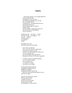#### **Daphne**

 —had to keep running—he was right behind me— I tore through the forest, bounding over rocks and roots, his breathing pounded heavy in my ears, but I was strong and fast, I imagined him—pressing himself onto me forcing himself into me anger surged through my muscles, stronger, faster, one more uphill, I caught sight of the river, felt his step still one stride behind, I knew I"d made it—

suddenly her legs felt numb wooden her knees locked she staggered on her arms stiffened confused clumsy she stumbled tripped

he grabbed at her tunic and a leaf came away in his hands.

 who? whose ego did this? Zeus? was it too much for a half-mortal to escape from a god? no, then Peneus? it was bad enough not having a son, was it too much to bear your only daughter choosing celibacy denying you a chance for, at least, a grandson?

 or Apollo, symbol of youthful manhood, was it too much to handle my not wanting you? or is defeat to a woman too much for your image?

he thrust both hands toward her and grabbed a handful of leaves delighted, he laughed, and plucked from her, leaf by leaf —while she stood rooted bound unable to move until she was naked.

lazily he wove them into a wreath and set it upon his head; it caught on and soon all the men of achievement sported a laurel wreath: her humiliation was their honour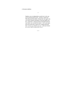—it became tradition.

*Daphne was an independent woods-lover who was not at all interested in men—mortal or otherwise. This distressed her father, Peneus the river god, who very much wanted a grandson. One day Apollo saw her, wanted her, and pursued her through the forest. Just before she reached her father"s river and safety, she was turned into a laurel tree. Apollo declared then "at least you shall be my tree—with your leaves my victors shall wreathe their brows".*

 $\sim\sim\sim$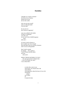#### **Daedalus**

I thought you would"ve learned all of you at Los Alamos, and the rest of you all over the world.

why was my story saved? why is it told and retold if not for that?

do you see in it just a lesson in ingenuity?

were you as blind to the deaths of those 14 Athenians year after year as you were to the 140,000 Japanese years after year—

of course I tried to destroy it but I couldn"t get close enough! they had taken away my security clearance and it was too well-guarded!

then I tried to amend (to amend— how could i?) I saved Theseus and the others one year (one year!)

DOES IT MEAN NOTHING TO YOU?

 the same government I helped, then— I was of no further use, then— I was a threat then—

> so when they come to you with money, for research and a lab with anthems with arguments, about the lesser of two evils with threats please say to them no it cannot be done.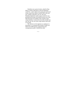*Daedalus was a great inventor, asked by King Minos to build a labyrinth in which the Minotaur would live—and in which seven young men and seven young women from Athens would be left to die each year, unable to find their way out. One year Daedalus helped the youths escape; for this he was punished by the King, who left him and his son in the labyrinth of his own making. They escaped, using wings Daedalus created, but Icarus (his son) flew too near the sun, the wax of the wings melted, and he fell to his death.*

*The reference to the Japanese is a reference to Hiroshima: it is estimated that initially 70,000 were killed and 70,000 injured; subsequently (and consequently) another 140,000 have died.*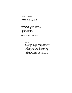#### **Ismene**

the first REAL woman: we are women, you said, we must obey, our position depends on it, besides we have no strength to defy the state —and so you didn"t

then seeing your sister, Antigone, succeed in an act of civil disobedience in an act of justice, honour, strength, love you regretted and tried to retract to change your position to come forward with her —but it was too late

and *you* were never mentioned again.

*When her sister, Antigone, sought her assistance to bury their brother (an act forbidden by law because he had fought against the city), Ismene refused. So Antigone did it herself, risking a death sentence. When Antigone was caught, Ismene regretted her earlier refusal and tried to stand with her sister. But Antigone declared that she alone was responsible; she was led to a heroic death and Ismene disappeared from further mythological accounts.*

•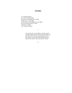## **Poseidon**

yes, I lost the election, no, I did *not* flood the land the sea was a bit turbulent for a while, but that's all—I was angry! to lose because of incompetence is one thing but to lose just because I'm a man well that's so stupid! who wouldn"t be angry?

> *In an election for ruler of Athens, all of the women voted for Athena and all of the men for Poseidon, but since there was one more woman than there were men, Athena won. Poseidon then flooded the land and the men took the vote away from the women.*

> > $\sim\sim\sim$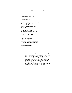### **Athena and Orestes**

In the Supreme Court today a precedent was set that will change the world.

The unusual case of Orestes was presented and recorded by the court as the first in which the accused suffered from guilt and sought purification.

Judge Athena, presiding, responded to the particulars of the case by instituting a new law of mercy and forgiveness.

As a result the Office of the Furies, until now merciless avengers zealous for justice, fair and square, became the Office of the Eumenides, benign powers capable of compassion.

> *Orestes avenged his father"s death (Agamemnon) by killing his murderer (Clytemnestra, Orestes" mother), then spent years in guilt and suffering seeking atonement and absolution. Eventually he came before Athena for judgement. Contrary to custom, which demanded justice by his death, she decided he was to be forgiven. She persuaded the Furies (who were pursuing him to enact this justice), and they became instead the Eumenides (The Kindly Ones).*

> > $\sim\sim\sim$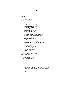## **Circe**

typical: the woman is blamed for the man"s behaviour as if he has no control over himself.

> maybe it all stems from his dick: one thing beyond his control, and unhappily for him (and stupidly, I might add) the one thing he has vested his entire manhood in;

 so no wonder he develops this complex: he compensates with this ridiculously no, dangerously distorted need to control and becomes, as an entire sex, dominating and domineering always seeking, taking, seizing control while at the same time denying control and charging the woman (who tempted, who provoked) with full responsibility for what happens

they say you turned them all into swine: but we know better when a group of men comes upon a woman alone, we know what they act like.

> *Circe lived alone on an island, and turned every man who approached her into a beast; notorious was the band of men sent by Odysseus—they were turned into pigs.*

•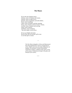#### **The Muses**

We are the nine forgotten muses: Selemon, muse of sculpture and ceramic, Amacles, muse of songs of love, Dextrete, muse of gymnastic and artful athletic, Prytes, muse of painting, Caleus, muse of numbers and their meaning, Florus, muse of botany and all of nature's beauty, Arachles, muse of tapestry and weaving, Ataeus, muse of physic, and Hestor, muse of alchemy that most magic art and science.

We too can delight and inspire like the Nine who are the gods' gift to men we are their gift to women.

> *The Nine Muses (daughters of Zeus and Mnemosyne) have been popularized as sources of inspiration to artists. Thalia is the muse of comedy, Melpomene of tragedy, Clio of history, Urania of astronomy, Terpsichore of dance, Calliope of epic poetry, Erato of love poetry, Polyhymnia of songs to the gods, and Euterpe of lyric poetry.*

> > $\sim\sim\sim$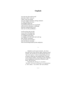#### **Omphale**

you were my slave and my stud and when I didn"t want you I didn"t want you around. you were stupid, insensitive, boring, immature so I kept sending you away you thought it great fun to get blood and shit all over your hands each joe job an adventure, a challenge, and since someone had to do it who was I to tell you different—

to tell you that what you did was no more Herculean than working on an assembly line in a slaughter-house plant, or trudging with toilet brush and scrub rag after carefree vacationers in a 26-storey five-star hotel jobs also done by no-names who are also being fucked by their employers.

> *Omphale was the queen of Lydia—she chose Hercules as her slave and sex object. Between sexual sessions, she sent him out on what became known as "the twelve labours" (which included killing the lion of Nemea, killing the nine-headed Hydra, cleaning out the Augean stables, and picking up the droppings of the Stymphalian birds) (from Elizabeth Gould Davis, The First Sex).*

•

*Regarding the reference to "no-names", "Hercules" (a version of "Heracles") is as anonymous as "Mrs. Bailey": son of Hera, like wife of Bailey.*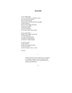### **Hyacinth**

it was a legal tackle it's not as if football is a dangerous sport, sure you have your injuries, but it"s not like boxing where the guys walk around brain-damaged, or look at hockey, they have more fights than goals, I mean even in skiing a non-contact sport you fall, you get hurt, or your knees don"t last past thirty

it was a legal tackle— Boomer was running with the ball it was twelve-seven we really needed this game and I knew I could take him we played in college together

it was just a quirk a freak accident that his neck snapped like that it wasn"t my fault it wasn"t because of how or where

I hit him

*Apollo and his best friend, Hyacinth, were engaged in a friendly contest to see who could throw the discus farther. Apollo"s throw hit Hyacinth in the forehead and killed him.*

 $\sim\sim\sim$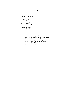## **Philomel**

did ya hear the one about Philomel? this guy raped her then cut out her tongue (he was some vip, see) and then the gods *being so very merciful* (are ya ready for this) the gods, in their mercy, turned *her* into a *bird*.

> *Tereus, a son of Ares, raped Philomel. When she threatened to expose his crime, he cut out her tongue. She eventually told her story to her sister (who was his wife) by weaving a tapestry. They both escaped from his household, but he pursued them, and just as he was about to kill them, Philomel was turned into a swallow, and her sister into a nightingale.*

> > $\sim\sim\sim$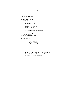## **Clytie**

I can see you sitting there looking up to your love watching his every move through the sky

> like the girl who waited every day at the corner so to follow him to school I knew his timetable where he sat for lunch and which afterschools he had practice

gradually your life changes from human to plant till you are finally immobilized by your adulation and unrequited love

> if only you"d known he wasn"t a god at all but just some bunch of hot air

*Clytie was a young woman in love with the Sun god. She would sit outside all day and watch him. Eventually she turned into a sunflower.*

*~~~*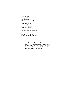## **Eurydice**

I heard your plea to the gods of the underworld— "the bud was plucked before the flower bloomed"— What is this shit? I was a grown woman had been 'in full bloom' for years! Then I noticed a phrase here and there— 'all born of a woman' 'the rape of Proserpine' —so I know why you came back.

what I don't know is why you asked for a year when nine months would've done.

> *A few hours after Orpheus and Eurydice were married, she died (while she was walking through a meadow with her bridesmaids, a viper stung her). Heartbroken, Orpheus went to the Underworld to ask if he could have her back for a year.*

> > $\sim\sim\sim$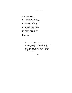#### **The Danaids**

there are so many of them in the kitchen doing the dishes in the bathroom cleaning the toilet in the laundryroom washing his clothes in the livingroom dusting the furniture in the kitchen preparing his dinner in the bathroom scouring the tub in the laundryroom ironing his shirts in the livingroom vacuuming the rug in the kitchen doing the dishes in the bathroom cleaning the toilet in the laundryroom washing his who did not want to marry to become a wife

> *The Danaids were fifty sisters who were to be married to their fifty cousins. The women opposed the marriages but were forced into them. On their wedding night, each of them (except one) killed her husband, for which they were doomed in Hades to fetch water from a river using sieves—an endless (and impossible) task.*

> > *~~~*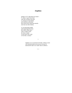## **Amphion**

perhaps you"re right about my beard it's funny, I guess facial hair well, hair of almost any kind is a measure of masculinity and academics and artists have always felt a little like eunuchs (real men use their bodies)

it's an interesting insight (and surprising from you) but it falls a little short what I wonder is this: do I have a beard to look more like a man or less like a woman?

> *Amphion was scorned by his brother, Zethus (a man who had great physical prowess), because he dedicated his life to art rather than to athletics.*

> > $\sim\sim\sim$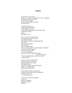#### **Galatea**

you don"t know me by name, though you"ve heard of my husband, of course—Pygmalion. the myth ends with our marriage. then the real story begins. (no, the real story begins a year later, with our divorce.)

it shouldn"t surprise you— I mean, look at the courtship: it really didn"t involve me: he spent months romancing his own private image of the perfect woman, not me. (that happens a lot.)

then, as you know, he visited Venus, she was impressed with his passion, and made his sculpture (his archetype of the life-sized inflatable doll) come alive: he proposed immediately, and, I accepted. (why, you might wonder. well, it's not uncommon for a disproportionate attachment to develop toward the agent of, no, the first encounter after, one"s sexual awakening. in my case, since the awakening included my entire physicality, I think my initial infatuation, and hence, consent is understandable.)

however, over the next little while, I found out what everyone knew: that he had spent years creating this beautiful statue, that when it was done he started dressing it, talking to it, bringing it gifts. that he caressed it, kissed it—

(I also found out what few people knew: that he had left a hollow space in the right spot, and lined it with moss —he was fucking it too.)

so let's face it, the man has problems: womb envy delusions of grandeur displaced narcissism misogyny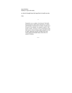stone fetishism inability to cope with reality

so when he brought home this huge block of marble one day

I left.

*Pygmalion was a sculptor who detested "the faults beyond measure which nature had given to women" and therefore resolved never to marry. In spite of, or because of, his attitude, he sculpted a statue of "the perfect woman". He grew to love it and began to kiss and caress it, dress it, bring it gifts, and put it to bed at night. Impressed with the strength of his love, Venus made the beautiful statue come alive; he named it Galatea.*

 $\sim\sim\sim$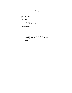## **Gorgons**

it"s not *our* glance that turns you to stone but your own—

as soon as you see us you become cold insensitive unable to respond

to ugly women

•

*The Gorgons were three sisters (Medusa was one of them) who were monsters with "snaky hair, most horrible"; whoever looked at them turned instantly to stone.*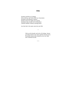### **Dido**

Founder and Ruler of Carthage, First at the bar, and Chair of the Law Association President of the Business Alliance Premier of the Year eight years running Seventeen times on the cover of *Newsweek* Lifetime member of Rotary and Big Sisters

(too bad what"s-his-name came into your life)

*Dido was the founder and ruler of Carthage. Aeneas got shipwrecked on her land, and they became lovers. Eventually Aeneas left to found his own city. Dido then committed suicide.*

•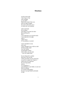#### **Menelaus**

to tell you the truth I don"t know if she went willingly or was taken— Helen had a mind of her own and was rather enraged she wasn"t allowed to use it to choose her own husband

when I got home she was gone and really it was more for show than anything else that I— I was expected to try to get her back I was expected to be angry truth is I didn"t know if I was jealous or worried

I never intended it to last nine years I never intended Troy to fall as it did all those people, dead over one woman one beautiful woman— (well, really, over one man —one very stupid man)

but one thing led to another and soon it was too late I mean soon there was too much loss to say this is stupid, let's forget itwhich one of us could face the surviving family and say we're quitting, so your husband, or your father, or your son died for nothing so we had to keep going because it just got harder and harder to stop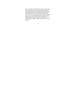*Helen, reputed to be the fairest woman in the world, had many suitors from rich and powerful families. Her father (Tyndareus, King of Greece) eventually chose Menelaus to be her husband. While Paris (Prince of Troy) was a guest in their home, Menelaus returned one day to find both him and Helen gone. Thus began the great Trojan War. (Thanks to Gwynne Dyer, author of War, for the idea in the last stanza.)*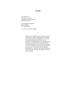### **Psyche**

'love cannot live when there is no trust' you flung the accusation at me and then walked out

yet you had been testing me again and again every single night—

—it wasn"t me who was faithless.

*Psyche was so beautiful no man wanted to marry her. Distraught, her father sought advice from the gods, and was told she must be abandoned on a hill and her destined husband would come to her. So, instructions were followed. She was transported from the hill to a beautiful mansion where she amused herself during the day; and every night her husband came, only to disappear by morning. He had told her she must never try to see him, but one night she decided to look—a drop of wax from her candle fell onto his shoulder, he woke, was indignant at her lack of trust, and left.*

 $\sim\sim\sim$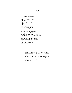### **Hylas**

It was a great arrangement to be his armour-bearer to have a legitimate reason to be close to him day and night, always, forever close to him strong, powerful, fearless —all the boys envied you (well, the few that knew)

But then finally everyone knew. When you went under, Hercules went crazy and as he exhausted himself diving down, then bursting up for air, diving down again, and again, and again, and again, as he passed up the greatest quest ever for the hopeless chance of saving you, as he slowly killed himself rather than be without you, everyone knew.

> *Hylas was Hercules" young armour-bearer; they were very close. At the beginning of the Argonauts" voyage, Hylas disappeared, drawn under water by a nymph. Hercules dove in, desperately trying to find and rescue him. He refused to give up, and did not return to the ship—which eventually had to sail on without him.*

> > $\sim\sim\sim$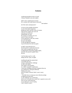#### **Atalanta**

wandering through the mines of myth I choose Atalanta as my next subject.

shall I write a simple hymn of praise for a woman who could outrun, outwrestle, and outshoot

all of her male contemporaries?

or focus on her probable adventures as one of the famed Argonauts, perhaps her talks with the crones of Lemnos while all the younger ones were off with the rest of the crew repopulating, now that the women"s revolution was over and all of their men dead, or her experience as the only woman on an all-male quest, her part in the debate to stop and fight the Amazons or go on because the wind was good.

or shall I write about the race she had said she would marry the man who could run against her and win, so Hippomenes tossed those golden apples, and since she paused to gather them, she lost.

I call my dog to go for a walk taking with me, I grin, an apple.

trundling through the autumn bush I reconsider the race trying to understand her challenge as well as her defeat. and I begin to feel parallels: as a child, I assumed I would marry a man more intelligent and more competent than me, as an adolescent, I had great difficulty finding such a man, and as an adult I realized I didn"t want to marry at all —but didn"t have to trump up some ridiculous pledge to appease the status quo; so, her challenge was a red herring and *not* an I-can-only-love-a-man-who's-superior-to-me at all: since no one *could* outrun her, it was really just a way of saying I don"t intend to marry—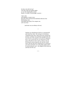but then why did she lose? were they really just golden apples or was she choosing thus to have beauty, or wealth, or knowledge, or power—

I take a bite and suddenly it comes to me: given the choice between this absolutely delicious fruit and beating a man who thinks that (only) if he conquers me, will I love him—

(and mine was an ordinary red one.)

*Atalanta was abandoned at birth on a mountainside and raised by a bear. She took part in the famous Calydonian boar hunt: many of the men resented her presence, and they were positively enraged when she won the prize. She wanted to sail with the Argonauts, but it"s not certain that she was indeed part of that quest. She did not want to marry, and as a way of declining the many proposals, she said she would marry only the man who could beat her in a footrace; one suitor started his race with golden apples which he tossed along the way—she stopped to pick them up and thus lost the race.*

 $\sim\sim\sim$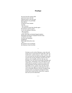#### **Penelope**

she rises from the reunion table and slowly leaves the hall Odysseus joins in one last toast bids his dearest son goodnight then follows to find her in her chamber weaving But I am back you need never play that charade again this shroud is not for Laertes it is for my husband, Odysseus But I am alive I am Odysseus twenty years ago my husband feigned madness desperately praying for exemption from the army so loath he was to kill. you have just murdered slaughtered thirty-eight defenceless men. But I this shroud is for my husband the Odysseus I know has died.

> *Penelope was the wife of Odysseus, a man who took twenty years to return from the Trojan War. (He was drafted after a failed attempt to "plead" insanity—his son was tossed into the path of his plough, he quickly averted, thus proving soundness of mind.) Since his absence was so lengthy, and since she was very beautiful, very rich, and very powerful, Penelope had many suitors. Still deeply in love with Odysseus, she stalled them by saying she would not remarry until she had finished weaving a funeral shroud for her aged father-in-law, Laertes. Every day she would weave and every night she would unravel the day"s work. Eventually Odysseus returned. Enraged at the insistent suitors, he prepared a banquet for them, locked them inside the hall without their weapons, then one by one he killed them.*

> > $\sim\sim\sim$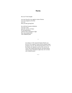#### **Macha**

this one I"ll tell straight:

you were forced to race against a team of horses you were pregnant at the time you won then you died, giving birth

but with that last great exhalation you cast a curse upon the warriors of Ulster: for nine generations whenever they attempted to fight they were incapacitated with childbirth pains.

> *According to Celtic legend (Ireland), Macha was forced to race against a team of horses despite being pregnant; she won, then died giving birth to twins. At her death, she imposed a curse on the warriors of Ulster that incapacitated them for nine generations: whenever they attempted to fight, they were stricken with childbirth pains.*

> > $\sim\sim\sim$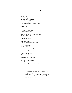### **Jason I**

so here I am perfectly happy studying, hunting, courting, then one day dad tells me that he"s not my dad at all that my real father was the King of Greece

*Pelias?* I ask

no, he"s your cousin he took the crown by force you"re the rightful heir and now the time has come: you must go back and reclaim the kingdom restore the family line

*but you"re my family*

no, you have a duty you must avenge your father"s death

*what"s done is done I don"t want revenge —and I don"t want the kingdom*

my son, you will make a great king

*maybe I will—but so what— I don"t* want *to be*

Jason, it's your responsibility

*what, to fulfill my potential? what about my choice? (I have other potentials I want to pursue)*

> *A certain King of Greece had his kingdom taken away by his nephew, Pelias. So his son, Jason, was secretly sent to a place for safety, so that when he was grown, he could return and reclaim the kingdom that was rightfully his.*

> > $\sim\sim\sim$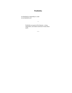## **Penthisilea**

not identified by relationship to a male so not identified at all

> *Penthisilea was queen of the Amazons—strong, independent, and seldom mentioned in books about myths.*

> > $\sim\sim\sim$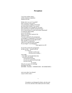#### **Persephone**

I can"t bear another spring another temporary suspension instead of an end—

Mother don't you see it's possible? Don"t you know your power? You are Demeter, Goddess of the Earth, the whole Earth, Mother! You control— Did you think it was sympathy for your grief that caused Zeus to send for me that first time? No! It was the threat of world-wide famine! Blackmail! It worked for eight months, it can work forever— But no, you feel that's going too far, asking too much— You were confused by the pomegranate, you thought it a compromise, in our favour, that I was granted even that eight months— Why should *we* compromise, when it is *us* who have been wronged! Do you forget? I was kidnapped! Taken against my will!

let me tell you about the pomegranate: he likes my lips smeared with red it"s a turn on but that"s not the seed he forces me to swallow every night every night l am brought before him as he sits on his throne I am forced to my knees my arms are spread and bound tight my face in his lap my mouth— What do you expect in a marriage that began with rape— MOTHER—PLEASE—UNDERSTAND—DO SOMETHING—

every year when I am released I pray it will be winter—

> *Persephone was kidnapped by Hades, who then took her to live with him in the Underworld. Her mother,*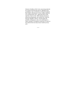*Demeter (Goddess of the Corn), mourned greatly for her and the earth became barren. Appalled at the possibilities, Zeus sent Hermes to bring Persephone back. Before allowing her to leave, Hades made her eat a pomegranate seed—apparently that would make her return to him. When Demeter found out about the pomegranate, she realized she could not keep her daughter with her. Fearing again the possible consequences, Zeus sent a messenger to make a bargain: Persephone would have to return to the Underworld, but only for four months of every year.*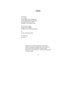#### **Adonis**

I"m a lover not a hunter: so what the hell am I doing here, in the middle of the fucking forest, gored and bleeding to death— I should"ve never left her side.

but it serves me right: trying to be two things the great lover and the great hunter

no, it's the same thing really-

I was trying to be a man.

> *Adonis was very favoured by the Greek women indeed Persephone and Aphrodite, both insistent in their love for him, shared him. One day while hunting, he wounded a boar—the boar gored him and he bled to death.*

> > $\sim$ ~~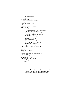#### **Ares**

Hera, Camilla, the Amazons— I am delighted to see you cross the lines that separate sex and create gender, to see you burst out of the passive and the meek; but I am dismayed to see the blood on your breast after doing so or was it *to* do so *is* it simple abuse of new power and freedom? an adolescent over-compensation? a belief that the superior *is* superior? —or is it an intermediate that *must* be, like the ugly maggot between newborn and airborne, the swing of a pendulum to the other extreme which is necessary, by all laws of motion, before achieving the centeredness of androgyny, bisexuality. so dangling thus between delight and dismay I have suspended my pen, and chosen others.

But Ares also crossed some lines and this is one story I *must* tell: when the spear aimed by Athena pierced him that great god of war went whining to Zeus, and standing before him, took his sucker out of his mouth long enough to pout "she hit me"

> *Ares was the god of war, a ruthless, murderous god. When he was injured during the Trojan War, he went immediately to Zeus to complain of the violence.*

> > $\sim\sim\sim$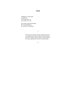## **Siren**

standing on a streetcorner to make bail for a friend who"s in with a john who"s not

she screams, piercing the night don"t keep faulting us for your lack of resistance!

> *The sirens were famous for their singing which was so beautiful that no man could hear it and continue his course; many a man was drawn to their island in this way, forgetting all else and eventually dying.*

•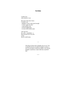#### **Acrisius**

I realize now what nemesis it was:

like most of the men I knew I wanted a son daughters weren"t quite good enough it wasn"t quite the same a man needed a son to be his rightful heir to carry on the family name

well I got one— (in a way—a grandson—) then lived the rest of my life in fear that he would usurp.

> *This King of Argos had a daughter but no son. Very troubled by this, he travelled to Delphi to ask for a son; he was told he would never father a son, but his daughter would bear a male child who would kill him.*

> > $\sim\sim\sim$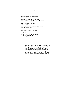## **Iphigenia I**

really, your case is no more horrible than the millions of us who are blown up on the way to market or while sitting at the third desk in the fourth row who are raped by a soldier after his invasion of our town or by a can"t-be-soldier after the double shift in the munitions factory, who are handed a letter in return for nineteen years of nurturance or in place of an anniversary card—

all of us, like you, we are sacrifices in the name of war; we are the women men kill in order to kill each other.

> *On the way to fight the Trojan War, Agamemnon and his ship ran into some strong opposing winds. He was told by a soothsayer that if he offered up his daughter, Iphigenia, the winds would cease. So he sent for her, with the lie that he had arranged a marriage for her with one of his greatest chieftains. She arrived and was carried to the altar not to be married but to be killed.*

•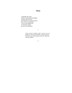## **Thetis**

I remember the sixties all those long-haired draft dodgers all those sons of Thetis knowing (however unconsciously) that a way to avoid killing a way to stop making war is to become women (however incompletely)

> *Thetis, mother of Achilles, didn"t want her son to be drafted, so she dressed him like a woman and sent him to the court of Lycomedes where he would mix with the maidens.*

•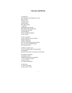#### **Chryseis and Briseis**

it would seem that nothing is more important to a man than a woman: they go to war because of one and once there they fight and kill to get one: Agamemnon got Chryseis, then sulked when the gods said he had to give her back, and stole Briseis, the one Achilles had gotten, to have instead.

so this is my poem for you, Chryseis, and you, Briseis sitting in their tents trying to understand how you can be both prisoner and prize, how you can be sought like gold but treated like shit.

suddenly it comes to you: it's not womanhood that's being glorified but manhood and proof of the latter is having one of the former

•

the problem understood the solution is clear: establish another proof of manhood. no, it"s really not so much a matter of proof as a matter of definition—

in either case, it's out of your hands, as long as they"re tied.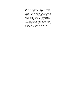*Agamemnon and Achilles were both members of the Greek army that fought the Trojan War (a war begun over a woman, Helen). A quarrel began about Chryseis, who had been carried off by the Greeks and given to Agamemnon. Chryseis" father begged for her release but Agamemnon refused. Because this angered the gods (Chryseis" father was a priest of Apollo), the army chiefs, led by Achilles, persuaded Agamemnon to change his mind. He did so, saying "But if I lose her who was my prize of honour, I will have another in her stead". He then sent two of his men to Achilles" tent to get his prize, a woman named Briseis. Achilles allowed them to take her, but swore he would have revenge.*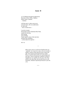### **Jason II**

so I"m flipping through the applications Hercules, Castor, Pollux, Orpheus, Peleus, Hylas, Atalanta. —Atalanta

well that must've taken some nerve everyone knew, this was understood, for men only well, we need nerve—

I scan her resume: Prizewinner of the Calydonian Boar Hunt, awards for shooting, and running, and wrestling; clearly equal to many of the men here and they had a headstart so that makes her superior—

she's in.

*When Jason came to reclaim the kingdom that was "rightfully" his (it had been taken away by his father"s nephew, Pelias), Pelias agreed to give it back only after Jason found and brought back the Golden Fleece, a task he believed no one could attempt and stay alive. Jason accepted the conditions, and got a magnificent crew together for the quest. Since they sailed on the ship Argo, they became known as the Argonauts. Atalanta requested permission to join the crew.*

 $\sim\sim\sim$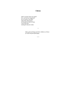## **Chiron**

what? you don't know my name? how can that have happened? yes, of course I was there with all the other heroes in that glorious Hall of Fame, I was at the end running the daycare center.

> *Many gods and kings took their children to Chiron for safe and good upbringing.*

> > $\sim\sim\sim$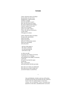#### **Artemis**

I know what this chase is all about because there are two of you (though there could be more) and that is enough: one to do and one to watch that"s the real reason for teams the motive behind male bonding it doesn"t matter if you score when you're all alone, and it"s not really worth it if she"s the only one who knows, it only counts if the guys are witness

I know what this chase is all about because only uncertainties need to be tested need to be proved and you"ve always been unsure about your masculinity and your power

 the fact of the matter is this chase is all about two men pursuing me with intent to rape

so when you split to increase your chances of success, I will lead you to a clearing, and standing in the middle, in between, I will wait, till each of you hurls his spear toward me, then, a quick duck, and your javelins will kill each other

(how else can I make you understand that when you so seek to injure me you also do injury to yourselves)

> *Otus and Ephialtes, brothers and sons of Poseidon, decided one day that each should seize the woman he loved. So the two of them began to track down Artemis, who was Ephialtes" choice. Eventually they found her on the shore, and followed her across the*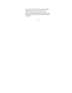*sea, into a forest. She turned into a deer, and they decided to pursue it "instead"; they split up to continue their chase, soon "circling" her in a clearing. When they had both let loose their javelins, she leapt out of the way, and they ended up killing each other.*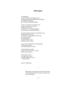#### **Bellerophon**

it"s frightening I mean, it's just her word against mineand quite apart from the problem of simply lying for revenge or reputation, there can be real misunderstanding—

I mean it's not like we sit there and I say do you want to have sex with me and she says yes or no of course not—it"s all body language and you know how unclear that can be—

and a lot of women *do* mean yes when they say no because they can"t say yes it"s like they"ve been taught, told to say no if a woman *wants* sex, let alone *admits* it, says it out loud *to a man*, well she's a slut, a whore-

so you can"t even talk about consenting adults as long as one of them isn"t really allowed to consent—

well *both* of them actually— I mean, if she says yes, she"s a whore but if I say no, I'm gay—

so the way it's set up, I"m supposed to say yes and she"s supposed to say no —and that"s rape.

and that"s frightening.

•

*Bellerophon was unjustly accused of rape by Anetia, whose husband, Proteus, sent him on a journey sure to end in his death.*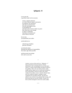### **Iphigenia II**

it was your job to get them ready for the execution

 extract a signed confession as to their national origin or persuasion (in whatever way necessary) take them incommunicado from the interrogation room to the holding cell and make sure no food or drink was given then when there were enough to make it worthwhile lead them to the death yard and tie them to the posts

but one day you questioned your orders

and decided not to

 refuel the gas chambers push the red button

you broke the chain disturbed the diffusion of responsibility that makes ugly deeds possible

and discovered your brother alive and in your arms

> *Another version of this myth (see "Iphigenia—I" above) tells that at the last moment, Artemis substituted a deer and Iphigenia was carried off to Taurus, a country whose people sacrificed Greeks to the goddess. There she was made priestess of the temple and her duties were to consecrate and deliver any Greek found in Taurus to those who would conduct the sacrifice. It was a task she did not enjoy, and she wondered whether a goddess would command such sacrificial murder. One day she talked to two victims-to-be, planned their escape, and discovered that one was her brother, Orestes; all three of them managed to leave the country safely.*

•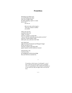#### **Prometheus**

shivering in our black cave, one hand holding the infant who can no longer cling, the other gripping a spear or a stone just in case—

you saw us

 then you came, and you gave— 'from one woman to another' you smiled

when I see you now crucified to that rock I think 'of course': who but a woman is cursed with "forever shall the intolerable present grind you down" who but a woman endures while others pick, tear, and suck at her flesh

and I think back right from Katya Komisaruk and Margaret Sanger all the way back to you who but a woman is the great rebel against injustice and the authority of power

still shivering, a bit, I call out to you be strengthened with the knowledge that your flesh has sustained me.

> *Prometheus (which means "forethought"), son of Zeus, stole fire from the gods to give to mankind [sic]. As a punishment, Zeus chained Prometheus to a rock, and every day an eagle came to eat out his liver.*

> > $\sim\sim\sim$